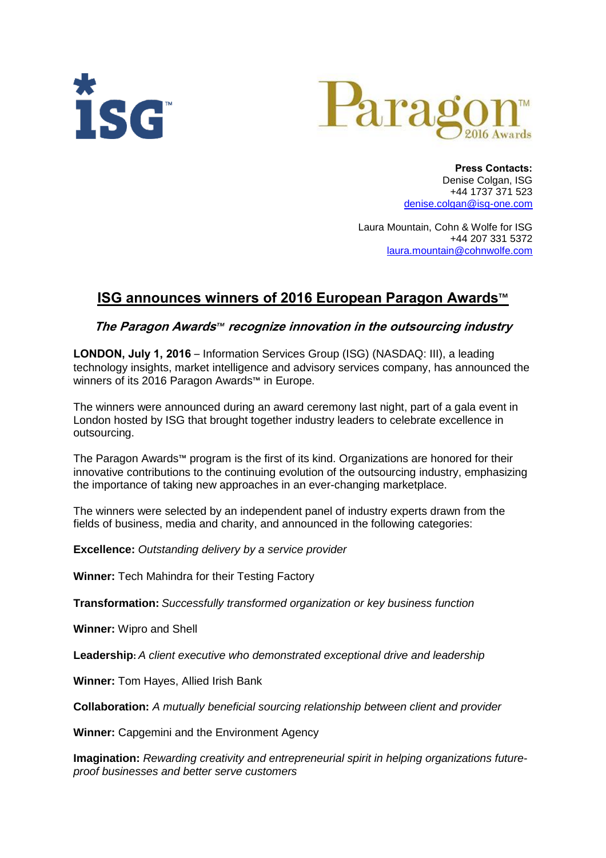



 **Press Contacts:** Denise Colgan, ISG +44 1737 371 523 [denise.colgan@isg-one.com](mailto:denise.colgan@isg-one.com)

Laura Mountain, Cohn & Wolfe for ISG +44 207 331 5372 laura.mountain@cohnwolfe.com

## **ISG announces winners of 2016 European Paragon Awards**™

## **The Paragon Awards***™* **recognize innovation in the outsourcing industry**

**LONDON, July 1, 2016** – Information Services Group (ISG) (NASDAQ: III), a leading technology insights, market intelligence and advisory services company, has announced the winners of its 2016 Paragon Awards™ in Europe.

The winners were announced during an award ceremony last night, part of a gala event in London hosted by ISG that brought together industry leaders to celebrate excellence in outsourcing.

The Paragon Awards™ program is the first of its kind. Organizations are honored for their innovative contributions to the continuing evolution of the outsourcing industry, emphasizing the importance of taking new approaches in an ever-changing marketplace.

The winners were selected by an independent panel of industry experts drawn from the fields of business, media and charity, and announced in the following categories:

**Excellence:** *Outstanding delivery by a service provider*

**Winner:** Tech Mahindra for their Testing Factory

**Transformation:** *Successfully transformed organization or key business function*

**Winner:** Wipro and Shell

**Leadership:** *A client executive who demonstrated exceptional drive and leadership*

**Winner:** Tom Hayes, Allied Irish Bank

**Collaboration:** *A mutually beneficial sourcing relationship between client and provider*

**Winner:** Capgemini and the Environment Agency

**Imagination:** *Rewarding creativity and entrepreneurial spirit in helping organizations futureproof businesses and better serve customers*